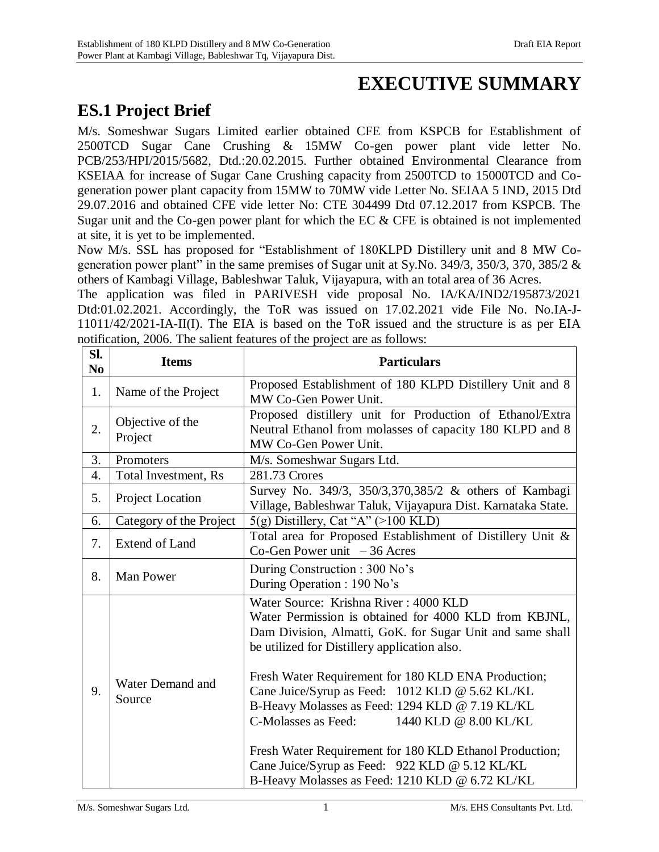## **EXECUTIVE SUMMARY**

## **ES.1 Project Brief**

M/s. Someshwar Sugars Limited earlier obtained CFE from KSPCB for Establishment of 2500TCD Sugar Cane Crushing & 15MW Co-gen power plant vide letter No. PCB/253/HPI/2015/5682, Dtd.:20.02.2015. Further obtained Environmental Clearance from KSEIAA for increase of Sugar Cane Crushing capacity from 2500TCD to 15000TCD and Cogeneration power plant capacity from 15MW to 70MW vide Letter No. SEIAA 5 IND, 2015 Dtd 29.07.2016 and obtained CFE vide letter No: CTE 304499 Dtd 07.12.2017 from KSPCB. The Sugar unit and the Co-gen power plant for which the EC & CFE is obtained is not implemented at site, it is yet to be implemented.

Now M/s. SSL has proposed for "Establishment of 180KLPD Distillery unit and 8 MW Cogeneration power plant" in the same premises of Sugar unit at Sy.No. 349/3, 350/3, 370, 385/2 & others of Kambagi Village, Bableshwar Taluk, Vijayapura, with an total area of 36 Acres.

The application was filed in PARIVESH vide proposal No. IA/KA/IND2/195873/2021 Dtd:01.02.2021. Accordingly, the ToR was issued on 17.02.2021 vide File No. No.IA-J-11011/42/2021-IA-II(I). The EIA is based on the ToR issued and the structure is as per EIA notification, 2006. The salient features of the project are as follows:

| SI.<br>N <sub>0</sub> | <b>Items</b>                | <b>Particulars</b>                                                                                                                                                                                                                                                                                                                                                                                                                                                                                                                                                                    |  |
|-----------------------|-----------------------------|---------------------------------------------------------------------------------------------------------------------------------------------------------------------------------------------------------------------------------------------------------------------------------------------------------------------------------------------------------------------------------------------------------------------------------------------------------------------------------------------------------------------------------------------------------------------------------------|--|
| 1.                    | Name of the Project         | Proposed Establishment of 180 KLPD Distillery Unit and 8<br>MW Co-Gen Power Unit.                                                                                                                                                                                                                                                                                                                                                                                                                                                                                                     |  |
| 2.                    | Objective of the<br>Project | Proposed distillery unit for Production of Ethanol/Extra<br>Neutral Ethanol from molasses of capacity 180 KLPD and 8<br>MW Co-Gen Power Unit.                                                                                                                                                                                                                                                                                                                                                                                                                                         |  |
| 3.                    | Promoters                   | M/s. Someshwar Sugars Ltd.                                                                                                                                                                                                                                                                                                                                                                                                                                                                                                                                                            |  |
| $\overline{4}$ .      | Total Investment, Rs        | 281.73 Crores                                                                                                                                                                                                                                                                                                                                                                                                                                                                                                                                                                         |  |
| 5.                    | Project Location            | Survey No. 349/3, 350/3,370,385/2 & others of Kambagi<br>Village, Bableshwar Taluk, Vijayapura Dist. Karnataka State.                                                                                                                                                                                                                                                                                                                                                                                                                                                                 |  |
| 6.                    | Category of the Project     | $5(g)$ Distillery, Cat "A" (>100 KLD)                                                                                                                                                                                                                                                                                                                                                                                                                                                                                                                                                 |  |
| 7.                    | Extend of Land              | Total area for Proposed Establishment of Distillery Unit &<br>Co-Gen Power unit $-36$ Acres                                                                                                                                                                                                                                                                                                                                                                                                                                                                                           |  |
| 8.                    | <b>Man Power</b>            | During Construction: 300 No's<br>During Operation : 190 No's                                                                                                                                                                                                                                                                                                                                                                                                                                                                                                                          |  |
| 9.                    | Water Demand and<br>Source  | Water Source: Krishna River: 4000 KLD<br>Water Permission is obtained for 4000 KLD from KBJNL,<br>Dam Division, Almatti, GoK. for Sugar Unit and same shall<br>be utilized for Distillery application also.<br>Fresh Water Requirement for 180 KLD ENA Production;<br>Cane Juice/Syrup as Feed: 1012 KLD @ 5.62 KL/KL<br>B-Heavy Molasses as Feed: 1294 KLD @ 7.19 KL/KL<br>C-Molasses as Feed: 1440 KLD @ 8.00 KL/KL<br>Fresh Water Requirement for 180 KLD Ethanol Production;<br>Cane Juice/Syrup as Feed: 922 KLD @ 5.12 KL/KL<br>B-Heavy Molasses as Feed: 1210 KLD @ 6.72 KL/KL |  |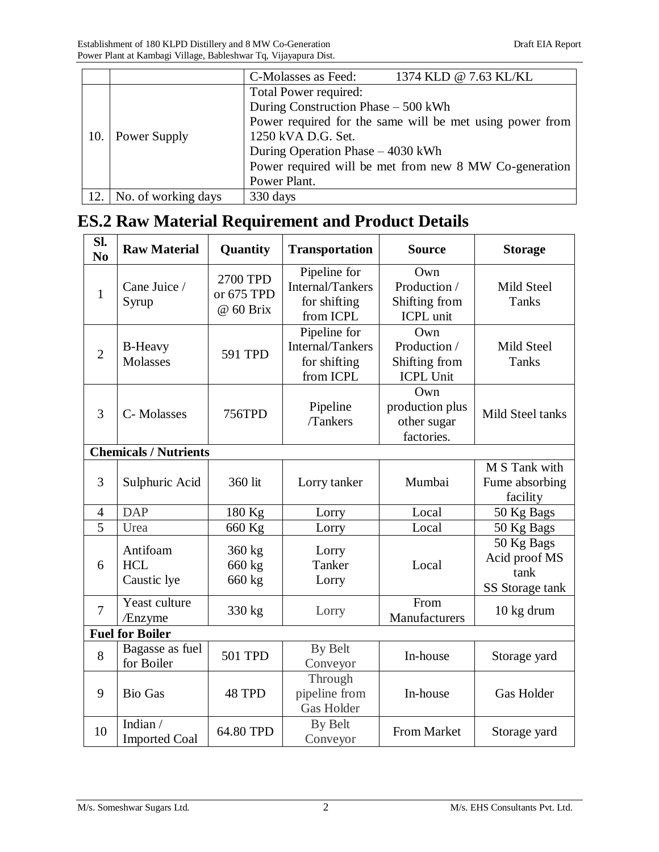|     |                     | 1374 KLD @ 7.63 KL/KL<br>C-Molasses as Feed:             |
|-----|---------------------|----------------------------------------------------------|
|     |                     | Total Power required:                                    |
|     | Power Supply        | During Construction Phase - 500 kWh                      |
|     |                     | Power required for the same will be met using power from |
| 10. |                     | 1250 kVA D.G. Set.                                       |
|     |                     | During Operation Phase – 4030 kWh                        |
|     |                     | Power required will be met from new 8 MW Co-generation   |
|     |                     | Power Plant.                                             |
| 12. | No. of working days | 330 days                                                 |

# **ES.2 Raw Material Requirement and Product Details**

| Sl.<br>N <sub>0</sub> | <b>Raw Material</b>                   | Quantity                            | <b>Transportation</b>                                         | <b>Source</b>                                            | <b>Storage</b>                                         |
|-----------------------|---------------------------------------|-------------------------------------|---------------------------------------------------------------|----------------------------------------------------------|--------------------------------------------------------|
| $\mathbf{1}$          | Cane Juice /<br>Syrup                 | 2700 TPD<br>or 675 TPD<br>@ 60 Brix | Pipeline for<br>Internal/Tankers<br>for shifting<br>from ICPL | Own<br>Production /<br>Shifting from<br><b>ICPL</b> unit | Mild Steel<br>Tanks                                    |
| $\overline{2}$        | <b>B-Heavy</b><br><b>Molasses</b>     | 591 TPD                             | Pipeline for<br>Internal/Tankers<br>for shifting<br>from ICPL | Own<br>Production /<br>Shifting from<br><b>ICPL Unit</b> | <b>Mild Steel</b><br>Tanks                             |
| 3                     | C-Molasses                            | 756TPD                              | Pipeline<br>/Tankers                                          | Own<br>production plus<br>other sugar<br>factories.      | Mild Steel tanks                                       |
|                       | <b>Chemicals / Nutrients</b>          |                                     |                                                               |                                                          |                                                        |
| 3                     | Sulphuric Acid                        | 360 lit                             | Lorry tanker                                                  | Mumbai                                                   | M S Tank with<br>Fume absorbing<br>facility            |
| $\overline{4}$        | <b>DAP</b>                            | 180 Kg                              | Lorry                                                         | Local                                                    | 50 Kg Bags                                             |
| 5                     | Urea                                  | 660 Kg                              | Lorry                                                         | Local                                                    | 50 Kg Bags                                             |
| 6                     | Antifoam<br><b>HCL</b><br>Caustic lye | 360 kg<br>660 kg<br>660 kg          | Lorry<br>Tanker<br>Lorry                                      | Local                                                    | 50 Kg Bags<br>Acid proof MS<br>tank<br>SS Storage tank |
| $\overline{7}$        | Yeast culture<br>/Enzyme              | 330 kg                              | Lorry                                                         | From<br>Manufacturers                                    | 10 kg drum                                             |
|                       | <b>Fuel for Boiler</b>                |                                     |                                                               |                                                          |                                                        |
| 8                     | Bagasse as fuel<br>for Boiler         | <b>501 TPD</b>                      | By Belt<br>Conveyor                                           | In-house                                                 | Storage yard                                           |
| 9                     | <b>Bio Gas</b>                        | 48 TPD                              | Through<br>pipeline from<br><b>Gas Holder</b>                 | In-house                                                 | <b>Gas Holder</b>                                      |
| 10                    | Indian/<br><b>Imported Coal</b>       | 64.80 TPD                           | By Belt<br>Conveyor                                           | From Market                                              | Storage yard                                           |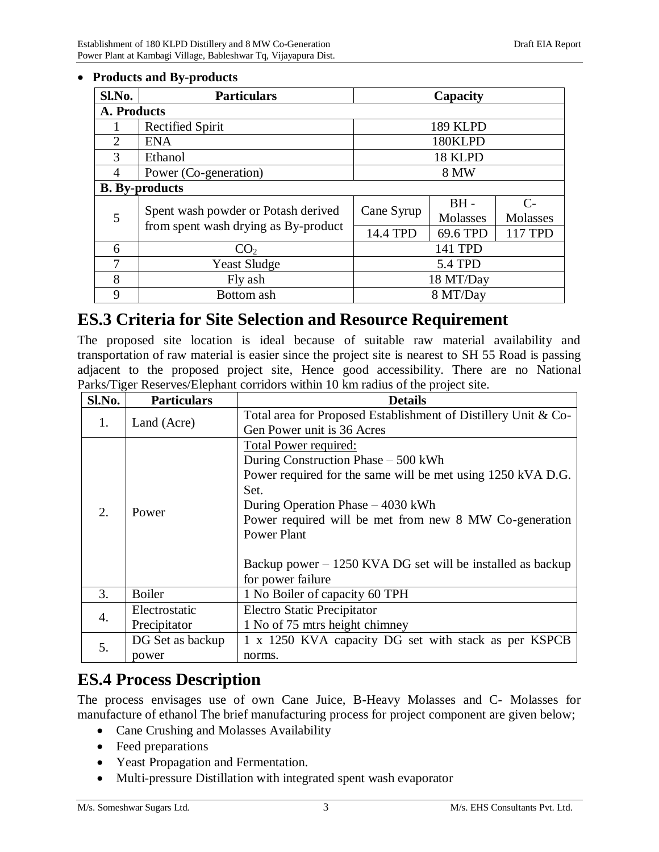#### **Products and By-products**

| Sl.No. | <b>Particulars</b>                                                          |                        | Capacity                       |                                      |  |  |  |
|--------|-----------------------------------------------------------------------------|------------------------|--------------------------------|--------------------------------------|--|--|--|
|        | A. Products                                                                 |                        |                                |                                      |  |  |  |
|        | <b>Rectified Spirit</b>                                                     |                        | 189 KLPD                       |                                      |  |  |  |
| 2      | 180KLPD<br><b>ENA</b>                                                       |                        |                                |                                      |  |  |  |
| 3      | Ethanol                                                                     |                        | 18 KLPD                        |                                      |  |  |  |
| 4      | Power (Co-generation)                                                       | 8 MW                   |                                |                                      |  |  |  |
|        | <b>B.</b> By-products                                                       |                        |                                |                                      |  |  |  |
| 5      | Spent wash powder or Potash derived<br>from spent wash drying as By-product | Cane Syrup<br>14.4 TPD | $BH -$<br>Molasses<br>69.6 TPD | $\mathcal{C}$<br>Molasses<br>117 TPD |  |  |  |
| 6      | CO <sub>2</sub>                                                             |                        | 141 TPD                        |                                      |  |  |  |
| $\tau$ | <b>Yeast Sludge</b>                                                         |                        | <b>5.4 TPD</b>                 |                                      |  |  |  |
| 8      | Fly ash                                                                     |                        | 18 MT/Day                      |                                      |  |  |  |
| 9      | Bottom ash                                                                  |                        | 8 MT/Day                       |                                      |  |  |  |

## **ES.3 Criteria for Site Selection and Resource Requirement**

The proposed site location is ideal because of suitable raw material availability and transportation of raw material is easier since the project site is nearest to SH 55 Road is passing adjacent to the proposed project site, Hence good accessibility. There are no National Parks/Tiger Reserves/Elephant corridors within 10 km radius of the project site.

| Sl.No. | <b>Particulars</b> | <b>Details</b>                                                 |
|--------|--------------------|----------------------------------------------------------------|
| 1.     | Land (Acre)        | Total area for Proposed Establishment of Distillery Unit & Co- |
|        |                    | Gen Power unit is 36 Acres                                     |
|        |                    | <b>Total Power required:</b>                                   |
|        |                    | During Construction Phase - 500 kWh                            |
|        |                    | Power required for the same will be met using 1250 kVA D.G.    |
|        |                    | Set.                                                           |
| 2.     | Power              | During Operation Phase – 4030 kWh                              |
|        |                    | Power required will be met from new 8 MW Co-generation         |
|        |                    | <b>Power Plant</b>                                             |
|        |                    |                                                                |
|        |                    | Backup power $-1250$ KVA DG set will be installed as backup    |
|        |                    | for power failure                                              |
| 3.     | <b>Boiler</b>      | 1 No Boiler of capacity 60 TPH                                 |
| 4.     | Electrostatic      | <b>Electro Static Precipitator</b>                             |
|        | Precipitator       | 1 No of 75 mtrs height chimney                                 |
|        | DG Set as backup   | 1 x 1250 KVA capacity DG set with stack as per KSPCB           |
| 5.     | power              | norms.                                                         |

### **ES.4 Process Description**

The process envisages use of own Cane Juice, B-Heavy Molasses and C- Molasses for manufacture of ethanol The brief manufacturing process for project component are given below;

- Cane Crushing and Molasses Availability
- Feed preparations
- Yeast Propagation and Fermentation.
- Multi-pressure Distillation with integrated spent wash evaporator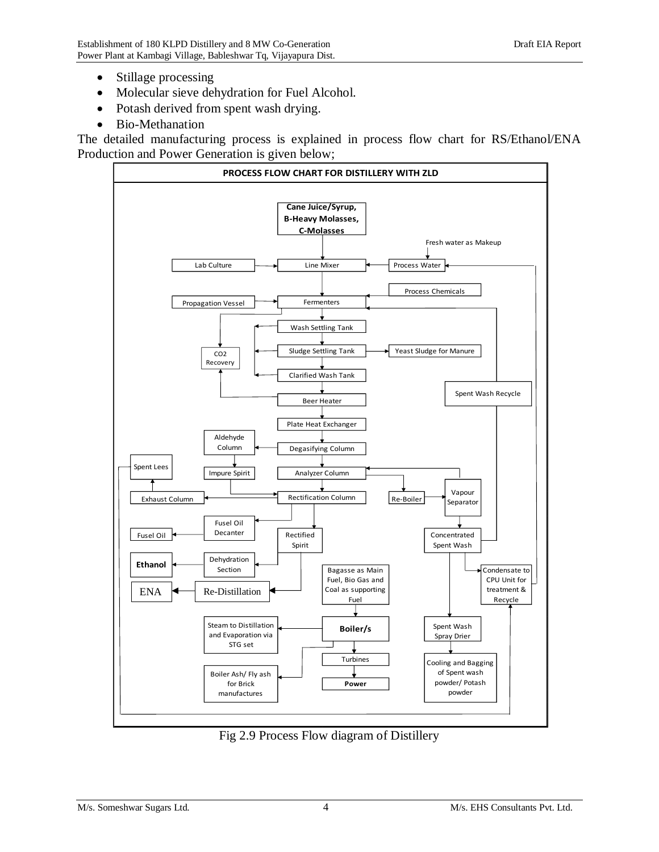- Stillage processing
- Molecular sieve dehydration for Fuel Alcohol.
- Potash derived from spent wash drying.
- Bio-Methanation

The detailed manufacturing process is explained in process flow chart for RS/Ethanol/ENA Production and Power Generation is given below;



Fig 2.9 Process Flow diagram of Distillery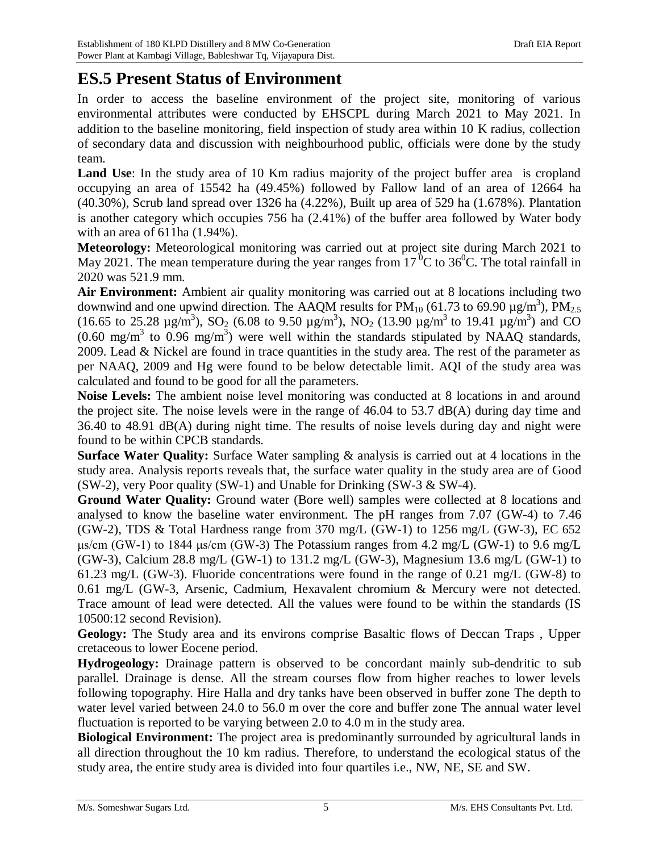## **ES.5 Present Status of Environment**

In order to access the baseline environment of the project site, monitoring of various environmental attributes were conducted by EHSCPL during March 2021 to May 2021. In addition to the baseline monitoring, field inspection of study area within 10 K radius, collection of secondary data and discussion with neighbourhood public, officials were done by the study team.

Land Use: In the study area of 10 Km radius majority of the project buffer area is cropland occupying an area of 15542 ha (49.45%) followed by Fallow land of an area of 12664 ha (40.30%), Scrub land spread over 1326 ha (4.22%), Built up area of 529 ha (1.678%). Plantation is another category which occupies 756 ha (2.41%) of the buffer area followed by Water body with an area of 611ha (1.94%).

**Meteorology:** Meteorological monitoring was carried out at project site during March 2021 to May 2021. The mean temperature during the year ranges from 17<sup> $0$ </sup>C to 36<sup>0</sup>C. The total rainfall in 2020 was 521.9 mm.

**Air Environment:** Ambient air quality monitoring was carried out at 8 locations including two downwind and one upwind direction. The AAQM results for  $PM_{10}$  (61.73 to 69.90  $\mu$ g/m<sup>3</sup>),  $PM_{2.5}$ (16.65 to 25.28  $\mu$ g/m<sup>3</sup>), SO<sub>2</sub> (6.08 to 9.50  $\mu$ g/m<sup>3</sup>), NO<sub>2</sub> (13.90  $\mu$ g/m<sup>3</sup> to 19.41  $\mu$ g/m<sup>3</sup>) and CO  $(0.60 \text{ mg/m}^3$  to  $0.96 \text{ mg/m}^3)$  were well within the standards stipulated by NAAQ standards, 2009. Lead & Nickel are found in trace quantities in the study area. The rest of the parameter as per NAAQ, 2009 and Hg were found to be below detectable limit. AQI of the study area was calculated and found to be good for all the parameters.

**Noise Levels:** The ambient noise level monitoring was conducted at 8 locations in and around the project site. The noise levels were in the range of 46.04 to 53.7 dB(A) during day time and 36.40 to 48.91 dB(A) during night time. The results of noise levels during day and night were found to be within CPCB standards.

**Surface Water Quality:** Surface Water sampling & analysis is carried out at 4 locations in the study area. Analysis reports reveals that, the surface water quality in the study area are of Good (SW-2), very Poor quality (SW-1) and Unable for Drinking (SW-3  $\&$  SW-4).

**Ground Water Quality:** Ground water (Bore well) samples were collected at 8 locations and analysed to know the baseline water environment. The pH ranges from 7.07 (GW-4) to 7.46 (GW-2), TDS & Total Hardness range from 370 mg/L (GW-1) to 1256 mg/L (GW-3), EC 652 μs/cm (GW-1) to 1844 μs/cm (GW-3) The Potassium ranges from 4.2 mg/L (GW-1) to 9.6 mg/L (GW-3), Calcium 28.8 mg/L (GW-1) to 131.2 mg/L (GW-3), Magnesium 13.6 mg/L (GW-1) to 61.23 mg/L (GW-3). Fluoride concentrations were found in the range of 0.21 mg/L (GW-8) to 0.61 mg/L (GW-3, Arsenic, Cadmium, Hexavalent chromium & Mercury were not detected. Trace amount of lead were detected. All the values were found to be within the standards (IS 10500:12 second Revision).

**Geology:** The Study area and its environs comprise Basaltic flows of Deccan Traps , Upper cretaceous to lower Eocene period.

**Hydrogeology:** Drainage pattern is observed to be concordant mainly sub-dendritic to sub parallel. Drainage is dense. All the stream courses flow from higher reaches to lower levels following topography. Hire Halla and dry tanks have been observed in buffer zone The depth to water level varied between 24.0 to 56.0 m over the core and buffer zone The annual water level fluctuation is reported to be varying between 2.0 to 4.0 m in the study area.

**Biological Environment:** The project area is predominantly surrounded by agricultural lands in all direction throughout the 10 km radius. Therefore, to understand the ecological status of the study area, the entire study area is divided into four quartiles i.e., NW, NE, SE and SW.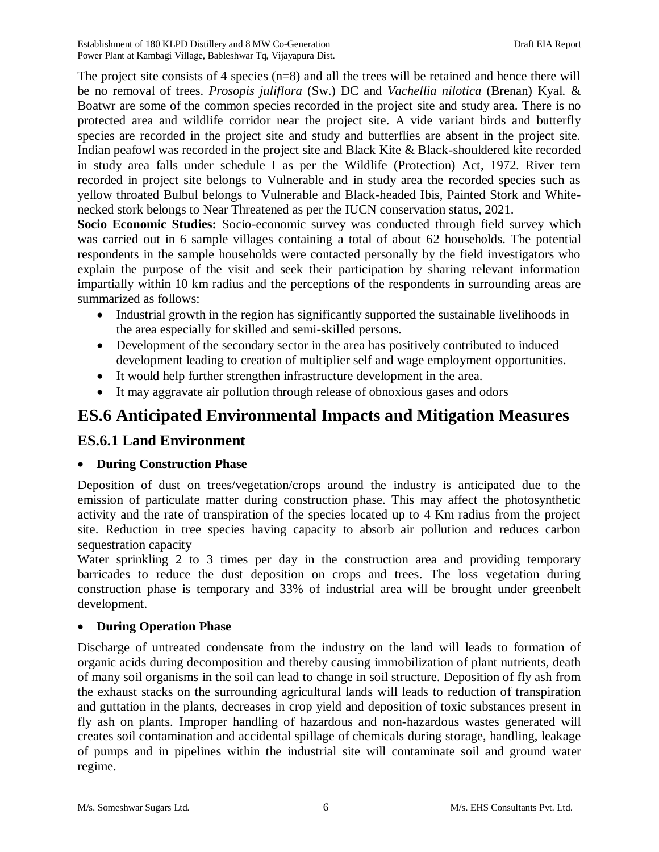The project site consists of 4 species  $(n=8)$  and all the trees will be retained and hence there will be no removal of trees. *Prosopis juliflora* (Sw.) DC and *Vachellia nilotica* (Brenan) Kyal. & Boatwr are some of the common species recorded in the project site and study area. There is no protected area and wildlife corridor near the project site. A vide variant birds and butterfly species are recorded in the project site and study and butterflies are absent in the project site. Indian peafowl was recorded in the project site and Black Kite & Black-shouldered kite recorded in study area falls under schedule I as per the Wildlife (Protection) Act, 1972. River tern recorded in project site belongs to Vulnerable and in study area the recorded species such as yellow throated Bulbul belongs to Vulnerable and Black-headed Ibis, Painted Stork and Whitenecked stork belongs to Near Threatened as per the IUCN conservation status, 2021.

**Socio Economic Studies:** Socio-economic survey was conducted through field survey which was carried out in 6 sample villages containing a total of about 62 households. The potential respondents in the sample households were contacted personally by the field investigators who explain the purpose of the visit and seek their participation by sharing relevant information impartially within 10 km radius and the perceptions of the respondents in surrounding areas are summarized as follows:

- Industrial growth in the region has significantly supported the sustainable livelihoods in the area especially for skilled and semi-skilled persons.
- Development of the secondary sector in the area has positively contributed to induced development leading to creation of multiplier self and wage employment opportunities.
- It would help further strengthen infrastructure development in the area.
- It may aggravate air pollution through release of obnoxious gases and odors

## **ES.6 Anticipated Environmental Impacts and Mitigation Measures**

### **ES.6.1 Land Environment**

### **During Construction Phase**

Deposition of dust on trees/vegetation/crops around the industry is anticipated due to the emission of particulate matter during construction phase. This may affect the photosynthetic activity and the rate of transpiration of the species located up to 4 Km radius from the project site. Reduction in tree species having capacity to absorb air pollution and reduces carbon sequestration capacity

Water sprinkling 2 to 3 times per day in the construction area and providing temporary barricades to reduce the dust deposition on crops and trees. The loss vegetation during construction phase is temporary and 33% of industrial area will be brought under greenbelt development.

### **During Operation Phase**

Discharge of untreated condensate from the industry on the land will leads to formation of organic acids during decomposition and thereby causing immobilization of plant nutrients, death of many soil organisms in the soil can lead to change in soil structure. Deposition of fly ash from the exhaust stacks on the surrounding agricultural lands will leads to reduction of transpiration and guttation in the plants, decreases in crop yield and deposition of toxic substances present in fly ash on plants. Improper handling of hazardous and non-hazardous wastes generated will creates soil contamination and accidental spillage of chemicals during storage, handling, leakage of pumps and in pipelines within the industrial site will contaminate soil and ground water regime.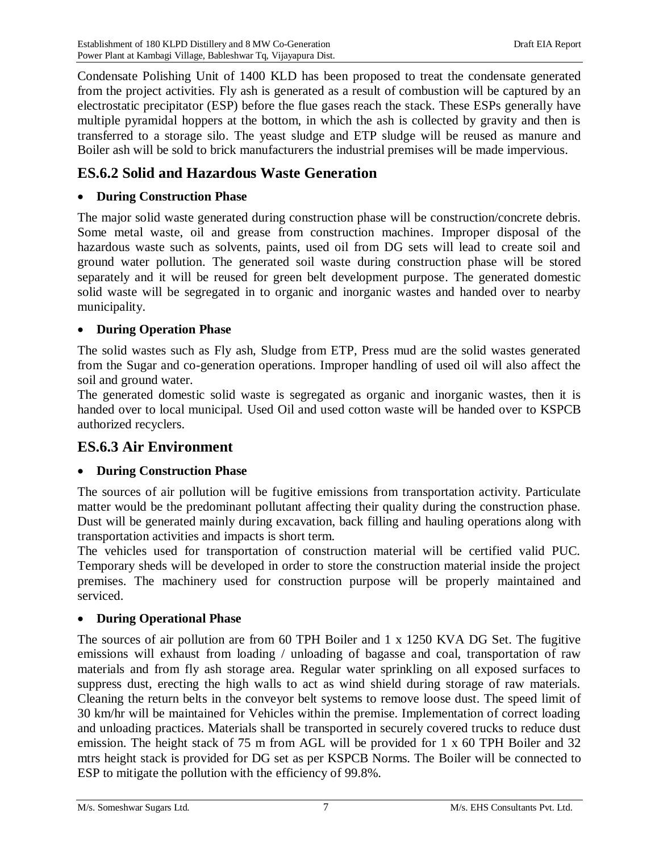Condensate Polishing Unit of 1400 KLD has been proposed to treat the condensate generated from the project activities. Fly ash is generated as a result of combustion will be captured by an electrostatic precipitator (ESP) before the flue gases reach the stack. These ESPs generally have multiple pyramidal hoppers at the bottom, in which the ash is collected by gravity and then is transferred to a storage silo. The yeast sludge and ETP sludge will be reused as manure and Boiler ash will be sold to brick manufacturers the industrial premises will be made impervious.

### **ES.6.2 Solid and Hazardous Waste Generation**

#### **During Construction Phase**

The major solid waste generated during construction phase will be construction/concrete debris. Some metal waste, oil and grease from construction machines. Improper disposal of the hazardous waste such as solvents, paints, used oil from DG sets will lead to create soil and ground water pollution. The generated soil waste during construction phase will be stored separately and it will be reused for green belt development purpose. The generated domestic solid waste will be segregated in to organic and inorganic wastes and handed over to nearby municipality.

#### **During Operation Phase**

The solid wastes such as Fly ash, Sludge from ETP, Press mud are the solid wastes generated from the Sugar and co-generation operations. Improper handling of used oil will also affect the soil and ground water.

The generated domestic solid waste is segregated as organic and inorganic wastes, then it is handed over to local municipal. Used Oil and used cotton waste will be handed over to KSPCB authorized recyclers.

### **ES.6.3 Air Environment**

#### **During Construction Phase**

The sources of air pollution will be fugitive emissions from transportation activity. Particulate matter would be the predominant pollutant affecting their quality during the construction phase. Dust will be generated mainly during excavation, back filling and hauling operations along with transportation activities and impacts is short term.

The vehicles used for transportation of construction material will be certified valid PUC. Temporary sheds will be developed in order to store the construction material inside the project premises. The machinery used for construction purpose will be properly maintained and serviced.

#### **During Operational Phase**

The sources of air pollution are from 60 TPH Boiler and 1 x 1250 KVA DG Set. The fugitive emissions will exhaust from loading / unloading of bagasse and coal, transportation of raw materials and from fly ash storage area. Regular water sprinkling on all exposed surfaces to suppress dust, erecting the high walls to act as wind shield during storage of raw materials. Cleaning the return belts in the conveyor belt systems to remove loose dust. The speed limit of 30 km/hr will be maintained for Vehicles within the premise. Implementation of correct loading and unloading practices. Materials shall be transported in securely covered trucks to reduce dust emission. The height stack of 75 m from AGL will be provided for 1 x 60 TPH Boiler and 32 mtrs height stack is provided for DG set as per KSPCB Norms. The Boiler will be connected to ESP to mitigate the pollution with the efficiency of 99.8%.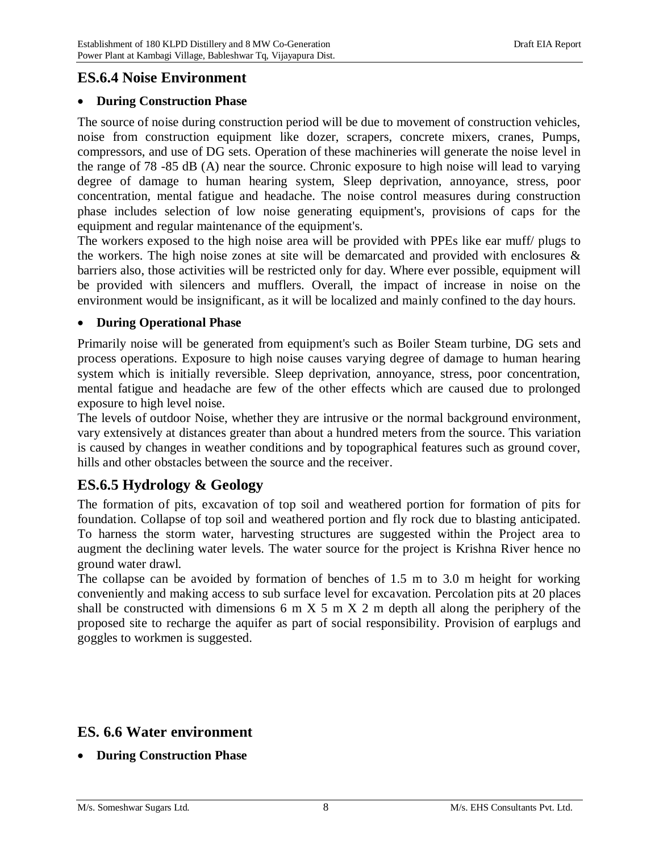### **ES.6.4 Noise Environment**

#### **During Construction Phase**

The source of noise during construction period will be due to movement of construction vehicles, noise from construction equipment like dozer, scrapers, concrete mixers, cranes, Pumps, compressors, and use of DG sets. Operation of these machineries will generate the noise level in the range of 78 -85 dB (A) near the source. Chronic exposure to high noise will lead to varying degree of damage to human hearing system, Sleep deprivation, annoyance, stress, poor concentration, mental fatigue and headache. The noise control measures during construction phase includes selection of low noise generating equipment's, provisions of caps for the equipment and regular maintenance of the equipment's.

The workers exposed to the high noise area will be provided with PPEs like ear muff/ plugs to the workers. The high noise zones at site will be demarcated and provided with enclosures & barriers also, those activities will be restricted only for day. Where ever possible, equipment will be provided with silencers and mufflers. Overall, the impact of increase in noise on the environment would be insignificant, as it will be localized and mainly confined to the day hours.

#### **During Operational Phase**

Primarily noise will be generated from equipment's such as Boiler Steam turbine, DG sets and process operations. Exposure to high noise causes varying degree of damage to human hearing system which is initially reversible. Sleep deprivation, annoyance, stress, poor concentration, mental fatigue and headache are few of the other effects which are caused due to prolonged exposure to high level noise.

The levels of outdoor Noise, whether they are intrusive or the normal background environment, vary extensively at distances greater than about a hundred meters from the source. This variation is caused by changes in weather conditions and by topographical features such as ground cover, hills and other obstacles between the source and the receiver.

### **ES.6.5 Hydrology & Geology**

The formation of pits, excavation of top soil and weathered portion for formation of pits for foundation. Collapse of top soil and weathered portion and fly rock due to blasting anticipated. To harness the storm water, harvesting structures are suggested within the Project area to augment the declining water levels. The water source for the project is Krishna River hence no ground water drawl.

The collapse can be avoided by formation of benches of 1.5 m to 3.0 m height for working conveniently and making access to sub surface level for excavation. Percolation pits at 20 places shall be constructed with dimensions 6 m X 5 m X 2 m depth all along the periphery of the proposed site to recharge the aquifer as part of social responsibility. Provision of earplugs and goggles to workmen is suggested.

### **ES. 6.6 Water environment**

**During Construction Phase**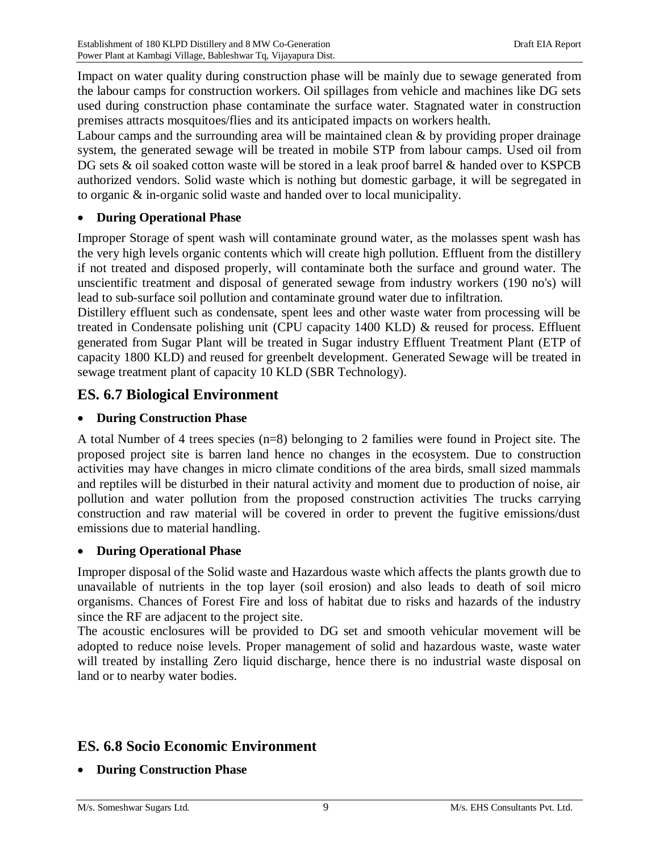Impact on water quality during construction phase will be mainly due to sewage generated from the labour camps for construction workers. Oil spillages from vehicle and machines like DG sets used during construction phase contaminate the surface water. Stagnated water in construction premises attracts mosquitoes/flies and its anticipated impacts on workers health.

Labour camps and the surrounding area will be maintained clean  $\&$  by providing proper drainage system, the generated sewage will be treated in mobile STP from labour camps. Used oil from DG sets & oil soaked cotton waste will be stored in a leak proof barrel & handed over to KSPCB authorized vendors. Solid waste which is nothing but domestic garbage, it will be segregated in to organic & in-organic solid waste and handed over to local municipality.

#### **During Operational Phase**

Improper Storage of spent wash will contaminate ground water, as the molasses spent wash has the very high levels organic contents which will create high pollution. Effluent from the distillery if not treated and disposed properly, will contaminate both the surface and ground water. The unscientific treatment and disposal of generated sewage from industry workers (190 no's) will lead to sub-surface soil pollution and contaminate ground water due to infiltration.

Distillery effluent such as condensate, spent lees and other waste water from processing will be treated in Condensate polishing unit (CPU capacity 1400 KLD) & reused for process. Effluent generated from Sugar Plant will be treated in Sugar industry Effluent Treatment Plant (ETP of capacity 1800 KLD) and reused for greenbelt development. Generated Sewage will be treated in sewage treatment plant of capacity 10 KLD (SBR Technology).

#### **ES. 6.7 Biological Environment**

#### **During Construction Phase**

A total Number of 4 trees species (n=8) belonging to 2 families were found in Project site. The proposed project site is barren land hence no changes in the ecosystem. Due to construction activities may have changes in micro climate conditions of the area birds, small sized mammals and reptiles will be disturbed in their natural activity and moment due to production of noise, air pollution and water pollution from the proposed construction activities The trucks carrying construction and raw material will be covered in order to prevent the fugitive emissions/dust emissions due to material handling.

#### **During Operational Phase**

Improper disposal of the Solid waste and Hazardous waste which affects the plants growth due to unavailable of nutrients in the top layer (soil erosion) and also leads to death of soil micro organisms. Chances of Forest Fire and loss of habitat due to risks and hazards of the industry since the RF are adjacent to the project site.

The acoustic enclosures will be provided to DG set and smooth vehicular movement will be adopted to reduce noise levels. Proper management of solid and hazardous waste, waste water will treated by installing Zero liquid discharge, hence there is no industrial waste disposal on land or to nearby water bodies.

### **ES. 6.8 Socio Economic Environment**

**During Construction Phase**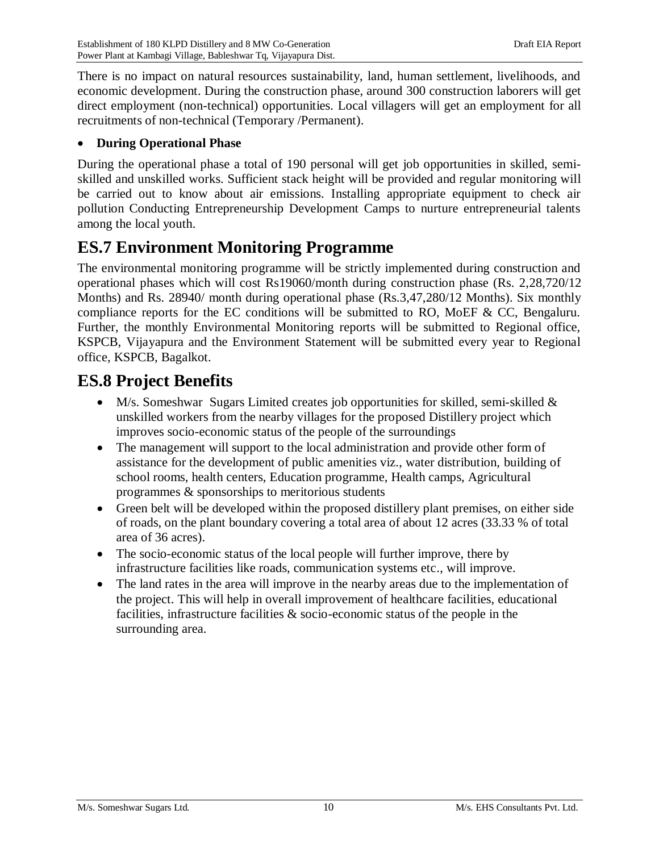There is no impact on natural resources sustainability, land, human settlement, livelihoods, and economic development. During the construction phase, around 300 construction laborers will get direct employment (non-technical) opportunities. Local villagers will get an employment for all recruitments of non-technical (Temporary /Permanent).

#### **During Operational Phase**

During the operational phase a total of 190 personal will get job opportunities in skilled, semiskilled and unskilled works. Sufficient stack height will be provided and regular monitoring will be carried out to know about air emissions. Installing appropriate equipment to check air pollution Conducting Entrepreneurship Development Camps to nurture entrepreneurial talents among the local youth.

## **ES.7 Environment Monitoring Programme**

The environmental monitoring programme will be strictly implemented during construction and operational phases which will cost Rs19060/month during construction phase (Rs. 2,28,720/12 Months) and Rs. 28940/ month during operational phase (Rs.3,47,280/12 Months). Six monthly compliance reports for the EC conditions will be submitted to RO, MoEF & CC, Bengaluru. Further, the monthly Environmental Monitoring reports will be submitted to Regional office, KSPCB, Vijayapura and the Environment Statement will be submitted every year to Regional office, KSPCB, Bagalkot.

## **ES.8 Project Benefits**

- $\bullet$  M/s. Someshwar Sugars Limited creates job opportunities for skilled, semi-skilled & unskilled workers from the nearby villages for the proposed Distillery project which improves socio-economic status of the people of the surroundings
- The management will support to the local administration and provide other form of assistance for the development of public amenities viz., water distribution, building of school rooms, health centers, Education programme, Health camps, Agricultural programmes & sponsorships to meritorious students
- Green belt will be developed within the proposed distillery plant premises, on either side of roads, on the plant boundary covering a total area of about 12 acres (33.33 % of total area of 36 acres).
- The socio-economic status of the local people will further improve, there by infrastructure facilities like roads, communication systems etc., will improve.
- The land rates in the area will improve in the nearby areas due to the implementation of the project. This will help in overall improvement of healthcare facilities, educational facilities, infrastructure facilities & socio-economic status of the people in the surrounding area.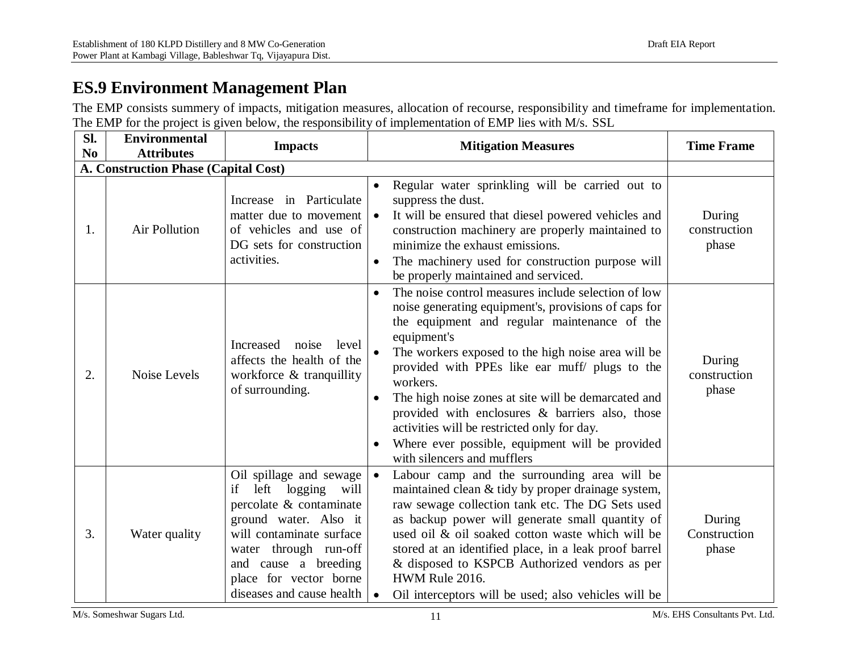## **ES.9 Environment Management Plan**

The EMP consists summery of impacts, mitigation measures, allocation of recourse, responsibility and timeframe for implementation. The EMP for the project is given below, the responsibility of implementation of EMP lies with M/s. SSL

| Sl.<br>N <sub>0</sub> | <b>Environmental</b><br><b>Attributes</b> | <b>Impacts</b>                                                                                                                                                                                                                                   | <b>Mitigation Measures</b>                                                                                                                                                                                                                                                                                                                                                                                                                                                                                                                                          | <b>Time Frame</b>               |
|-----------------------|-------------------------------------------|--------------------------------------------------------------------------------------------------------------------------------------------------------------------------------------------------------------------------------------------------|---------------------------------------------------------------------------------------------------------------------------------------------------------------------------------------------------------------------------------------------------------------------------------------------------------------------------------------------------------------------------------------------------------------------------------------------------------------------------------------------------------------------------------------------------------------------|---------------------------------|
|                       | A. Construction Phase (Capital Cost)      |                                                                                                                                                                                                                                                  |                                                                                                                                                                                                                                                                                                                                                                                                                                                                                                                                                                     |                                 |
| 1.                    | <b>Air Pollution</b>                      | Increase in Particulate<br>matter due to movement<br>of vehicles and use of<br>DG sets for construction<br>activities.                                                                                                                           | Regular water sprinkling will be carried out to<br>$\bullet$<br>suppress the dust.<br>It will be ensured that diesel powered vehicles and<br>$\bullet$<br>construction machinery are properly maintained to<br>minimize the exhaust emissions.<br>The machinery used for construction purpose will<br>$\bullet$<br>be properly maintained and serviced.                                                                                                                                                                                                             | During<br>construction<br>phase |
| 2.                    | Noise Levels                              | Increased<br>noise<br>level<br>affects the health of the<br>workforce & tranquillity<br>of surrounding.                                                                                                                                          | The noise control measures include selection of low<br>$\bullet$<br>noise generating equipment's, provisions of caps for<br>the equipment and regular maintenance of the<br>equipment's<br>The workers exposed to the high noise area will be<br>provided with PPEs like ear muff/ plugs to the<br>workers.<br>The high noise zones at site will be demarcated and<br>$\bullet$<br>provided with enclosures & barriers also, those<br>activities will be restricted only for day.<br>Where ever possible, equipment will be provided<br>with silencers and mufflers | During<br>construction<br>phase |
| 3.                    | Water quality                             | Oil spillage and sewage<br>left<br>logging<br>if<br>will<br>percolate & contaminate<br>ground water. Also it<br>will contaminate surface<br>water through run-off<br>and cause a breeding<br>place for vector borne<br>diseases and cause health | Labour camp and the surrounding area will be<br>$\bullet$<br>maintained clean & tidy by proper drainage system,<br>raw sewage collection tank etc. The DG Sets used<br>as backup power will generate small quantity of<br>used oil & oil soaked cotton waste which will be<br>stored at an identified place, in a leak proof barrel<br>& disposed to KSPCB Authorized vendors as per<br>HWM Rule 2016.<br>Oil interceptors will be used; also vehicles will be                                                                                                      | During<br>Construction<br>phase |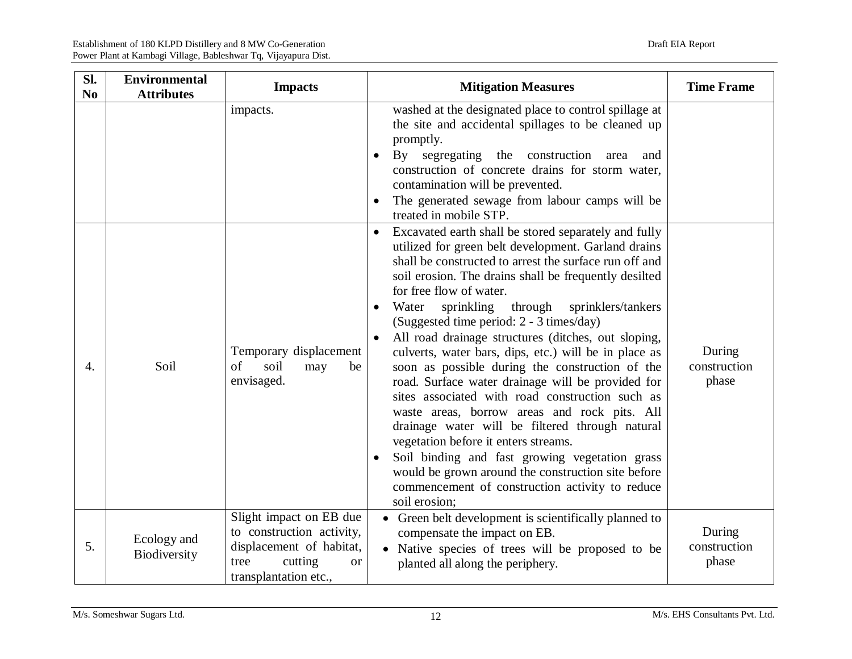| Sl.<br>N <sub>0</sub> | <b>Environmental</b><br><b>Attributes</b> | <b>Impacts</b>                                                                                                                            | <b>Mitigation Measures</b>                                                                                                                                                                                                                                                                                                                                                                                                                                                                                                                                                                                                                                                                                                                                                                                                                                                                                                                                                                             | <b>Time Frame</b>               |
|-----------------------|-------------------------------------------|-------------------------------------------------------------------------------------------------------------------------------------------|--------------------------------------------------------------------------------------------------------------------------------------------------------------------------------------------------------------------------------------------------------------------------------------------------------------------------------------------------------------------------------------------------------------------------------------------------------------------------------------------------------------------------------------------------------------------------------------------------------------------------------------------------------------------------------------------------------------------------------------------------------------------------------------------------------------------------------------------------------------------------------------------------------------------------------------------------------------------------------------------------------|---------------------------------|
|                       |                                           | impacts.                                                                                                                                  | washed at the designated place to control spillage at<br>the site and accidental spillages to be cleaned up<br>promptly.<br>By segregating the construction<br>area<br>and<br>$\bullet$<br>construction of concrete drains for storm water,<br>contamination will be prevented.<br>The generated sewage from labour camps will be<br>treated in mobile STP.                                                                                                                                                                                                                                                                                                                                                                                                                                                                                                                                                                                                                                            |                                 |
| 4.                    | Soil                                      | Temporary displacement<br>of<br>soil<br>may<br>be<br>envisaged.                                                                           | Excavated earth shall be stored separately and fully<br>$\bullet$<br>utilized for green belt development. Garland drains<br>shall be constructed to arrest the surface run off and<br>soil erosion. The drains shall be frequently desilted<br>for free flow of water.<br>sprinkling<br>Water<br>through<br>sprinklers/tankers<br>$\bullet$<br>(Suggested time period: 2 - 3 times/day)<br>All road drainage structures (ditches, out sloping,<br>culverts, water bars, dips, etc.) will be in place as<br>soon as possible during the construction of the<br>road. Surface water drainage will be provided for<br>sites associated with road construction such as<br>waste areas, borrow areas and rock pits. All<br>drainage water will be filtered through natural<br>vegetation before it enters streams.<br>Soil binding and fast growing vegetation grass<br>$\bullet$<br>would be grown around the construction site before<br>commencement of construction activity to reduce<br>soil erosion; | During<br>construction<br>phase |
| 5.                    | Ecology and<br>Biodiversity               | Slight impact on EB due<br>to construction activity,<br>displacement of habitat,<br>cutting<br>tree<br><b>or</b><br>transplantation etc., | • Green belt development is scientifically planned to<br>compensate the impact on EB.<br>• Native species of trees will be proposed to be<br>planted all along the periphery.                                                                                                                                                                                                                                                                                                                                                                                                                                                                                                                                                                                                                                                                                                                                                                                                                          | During<br>construction<br>phase |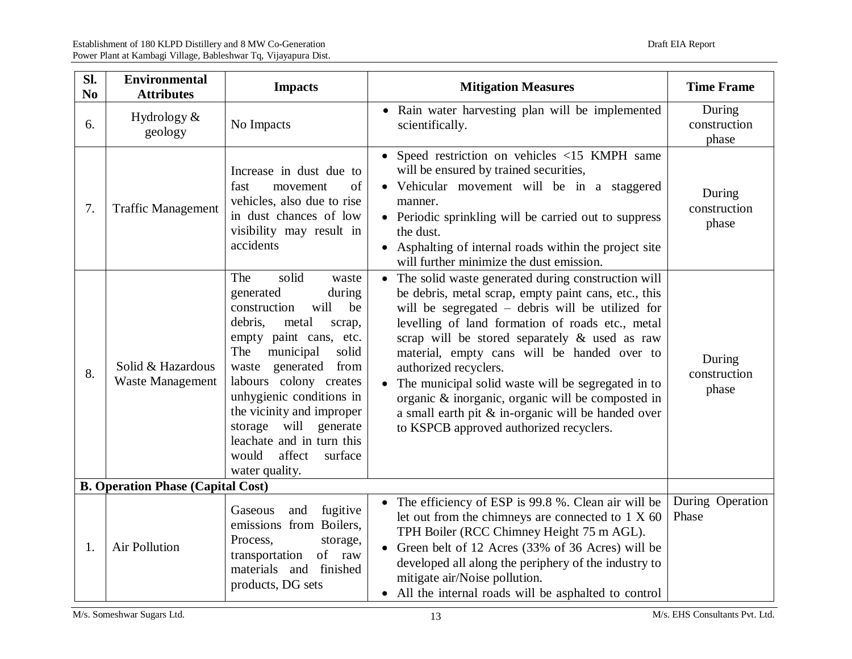| Sl.<br>N <sub>0</sub> | <b>Environmental</b><br><b>Attributes</b>    | <b>Impacts</b>                                                                                                                                                                                                                                                                                                                                                                         | <b>Mitigation Measures</b>                                                                                                                                                                                                                                                                                                                                                                                                                                                                                                                                 | <b>Time Frame</b>               |
|-----------------------|----------------------------------------------|----------------------------------------------------------------------------------------------------------------------------------------------------------------------------------------------------------------------------------------------------------------------------------------------------------------------------------------------------------------------------------------|------------------------------------------------------------------------------------------------------------------------------------------------------------------------------------------------------------------------------------------------------------------------------------------------------------------------------------------------------------------------------------------------------------------------------------------------------------------------------------------------------------------------------------------------------------|---------------------------------|
| 6.                    | Hydrology $&$<br>geology                     | No Impacts                                                                                                                                                                                                                                                                                                                                                                             | • Rain water harvesting plan will be implemented<br>scientifically.                                                                                                                                                                                                                                                                                                                                                                                                                                                                                        | During<br>construction<br>phase |
| 7.                    | <b>Traffic Management</b>                    | Increase in dust due to<br>of<br>fast<br>movement<br>vehicles, also due to rise<br>in dust chances of low<br>visibility may result in<br>accidents                                                                                                                                                                                                                                     | • Speed restriction on vehicles <15 KMPH same<br>will be ensured by trained securities,<br>• Vehicular movement will be in a staggered<br>manner.<br>• Periodic sprinkling will be carried out to suppress<br>the dust.<br>• Asphalting of internal roads within the project site<br>will further minimize the dust emission.                                                                                                                                                                                                                              | During<br>construction<br>phase |
| 8.                    | Solid & Hazardous<br><b>Waste Management</b> | solid<br>The<br>waste<br>during<br>generated<br>construction<br>will<br>be<br>debris,<br>metal<br>scrap,<br>empty paint cans, etc.<br>The<br>municipal<br>solid<br>waste generated from<br>labours colony creates<br>unhygienic conditions in<br>the vicinity and improper<br>will<br>storage<br>generate<br>leachate and in turn this<br>would<br>affect<br>surface<br>water quality. | The solid waste generated during construction will<br>be debris, metal scrap, empty paint cans, etc., this<br>will be segregated – debris will be utilized for<br>levelling of land formation of roads etc., metal<br>scrap will be stored separately & used as raw<br>material, empty cans will be handed over to<br>authorized recyclers.<br>The municipal solid waste will be segregated in to<br>organic & inorganic, organic will be composted in<br>a small earth pit $\&$ in-organic will be handed over<br>to KSPCB approved authorized recyclers. | During<br>construction<br>phase |
|                       | <b>B. Operation Phase (Capital Cost)</b>     |                                                                                                                                                                                                                                                                                                                                                                                        |                                                                                                                                                                                                                                                                                                                                                                                                                                                                                                                                                            |                                 |
| 1.                    | <b>Air Pollution</b>                         | fugitive<br>and<br>Gaseous<br>emissions from Boilers,<br>Process,<br>storage,<br>of raw<br>transportation<br>materials and finished<br>products, DG sets                                                                                                                                                                                                                               | • The efficiency of ESP is 99.8 %. Clean air will be<br>let out from the chimneys are connected to $1 \times 60$<br>TPH Boiler (RCC Chimney Height 75 m AGL).<br>• Green belt of 12 Acres (33% of 36 Acres) will be<br>developed all along the periphery of the industry to<br>mitigate air/Noise pollution.<br>• All the internal roads will be asphalted to control                                                                                                                                                                                      | During Operation<br>Phase       |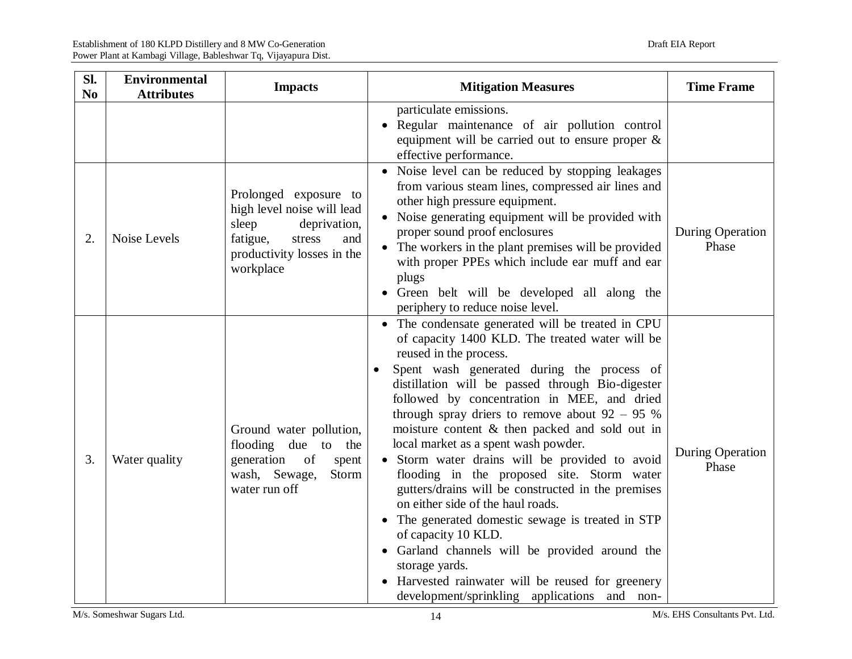| Sl.<br>N <sub>0</sub> | <b>Environmental</b><br><b>Attributes</b> | <b>Impacts</b>                                                                                                                                       | <b>Mitigation Measures</b>                                                                                                                                                                                                                                                                                                                                                                                                                                                                                                                                                                                                                                                                                                                                                                                                                                                  | <b>Time Frame</b>         |
|-----------------------|-------------------------------------------|------------------------------------------------------------------------------------------------------------------------------------------------------|-----------------------------------------------------------------------------------------------------------------------------------------------------------------------------------------------------------------------------------------------------------------------------------------------------------------------------------------------------------------------------------------------------------------------------------------------------------------------------------------------------------------------------------------------------------------------------------------------------------------------------------------------------------------------------------------------------------------------------------------------------------------------------------------------------------------------------------------------------------------------------|---------------------------|
|                       |                                           |                                                                                                                                                      | particulate emissions.<br>• Regular maintenance of air pollution control<br>equipment will be carried out to ensure proper $\&$<br>effective performance.                                                                                                                                                                                                                                                                                                                                                                                                                                                                                                                                                                                                                                                                                                                   |                           |
| 2.                    | Noise Levels                              | Prolonged exposure to<br>high level noise will lead<br>sleep<br>deprivation,<br>fatigue,<br>stress<br>and<br>productivity losses in the<br>workplace | • Noise level can be reduced by stopping leakages<br>from various steam lines, compressed air lines and<br>other high pressure equipment.<br>• Noise generating equipment will be provided with<br>proper sound proof enclosures<br>• The workers in the plant premises will be provided<br>with proper PPEs which include ear muff and ear<br>plugs<br>Green belt will be developed all along the<br>periphery to reduce noise level.                                                                                                                                                                                                                                                                                                                                                                                                                                      | During Operation<br>Phase |
| 3.                    | Water quality                             | Ground water pollution,<br>flooding due to the<br>generation of<br>spent<br>wash, Sewage,<br>Storm<br>water run off                                  | • The condensate generated will be treated in CPU<br>of capacity 1400 KLD. The treated water will be<br>reused in the process.<br>Spent wash generated during the process of<br>distillation will be passed through Bio-digester<br>followed by concentration in MEE, and dried<br>through spray driers to remove about $92 - 95$ %<br>moisture content & then packed and sold out in<br>local market as a spent wash powder.<br>• Storm water drains will be provided to avoid<br>flooding in the proposed site. Storm water<br>gutters/drains will be constructed in the premises<br>on either side of the haul roads.<br>• The generated domestic sewage is treated in STP<br>of capacity 10 KLD.<br>• Garland channels will be provided around the<br>storage yards.<br>Harvested rainwater will be reused for greenery<br>development/sprinkling applications and non- | During Operation<br>Phase |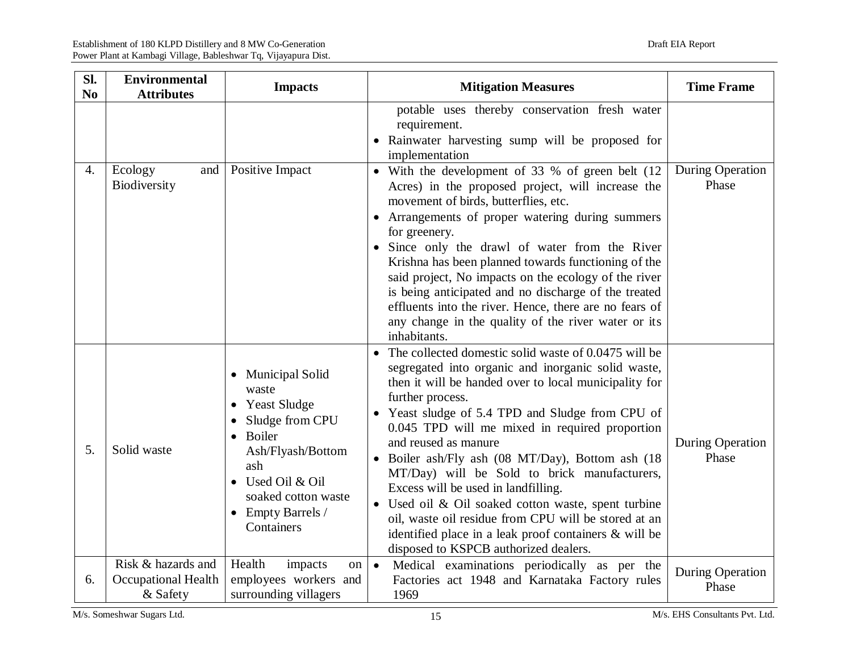| Sl.<br>N <sub>0</sub> | <b>Environmental</b><br><b>Attributes</b>                    | <b>Impacts</b>                                                                                                                                                                              | <b>Mitigation Measures</b>                                                                                                                                                                                                                                                                                                                                                                                                                                                                                                                                                                                                                                                                                          | <b>Time Frame</b>                |
|-----------------------|--------------------------------------------------------------|---------------------------------------------------------------------------------------------------------------------------------------------------------------------------------------------|---------------------------------------------------------------------------------------------------------------------------------------------------------------------------------------------------------------------------------------------------------------------------------------------------------------------------------------------------------------------------------------------------------------------------------------------------------------------------------------------------------------------------------------------------------------------------------------------------------------------------------------------------------------------------------------------------------------------|----------------------------------|
| 4.                    | Ecology<br>and<br>Biodiversity                               | Positive Impact                                                                                                                                                                             | potable uses thereby conservation fresh water<br>requirement.<br>• Rainwater harvesting sump will be proposed for<br>implementation<br>• With the development of 33 % of green belt (12<br>Acres) in the proposed project, will increase the<br>movement of birds, butterflies, etc.<br>• Arrangements of proper watering during summers<br>for greenery.<br>• Since only the drawl of water from the River<br>Krishna has been planned towards functioning of the<br>said project, No impacts on the ecology of the river<br>is being anticipated and no discharge of the treated<br>effluents into the river. Hence, there are no fears of<br>any change in the quality of the river water or its<br>inhabitants. | <b>During Operation</b><br>Phase |
| 5.                    | Solid waste                                                  | • Municipal Solid<br>waste<br>• Yeast Sludge<br>Sludge from CPU<br>Boiler<br>Ash/Flyash/Bottom<br>ash<br>• Used Oil & Oil<br>soaked cotton waste<br>$\bullet$ Empty Barrels /<br>Containers | • The collected domestic solid waste of 0.0475 will be<br>segregated into organic and inorganic solid waste,<br>then it will be handed over to local municipality for<br>further process.<br>• Yeast sludge of 5.4 TPD and Sludge from CPU of<br>0.045 TPD will me mixed in required proportion<br>and reused as manure<br>• Boiler ash/Fly ash (08 MT/Day), Bottom ash (18<br>MT/Day) will be Sold to brick manufacturers,<br>Excess will be used in landfilling.<br>• Used oil & Oil soaked cotton waste, spent turbine<br>oil, waste oil residue from CPU will be stored at an<br>identified place in a leak proof containers & will be<br>disposed to KSPCB authorized dealers.                                 | During Operation<br>Phase        |
| 6.                    | Risk & hazards and<br><b>Occupational Health</b><br>& Safety | Health<br>impacts<br>on  <br>employees workers and<br>surrounding villagers                                                                                                                 | Medical examinations periodically as per the<br>$\bullet$<br>Factories act 1948 and Karnataka Factory rules<br>1969                                                                                                                                                                                                                                                                                                                                                                                                                                                                                                                                                                                                 | <b>During Operation</b><br>Phase |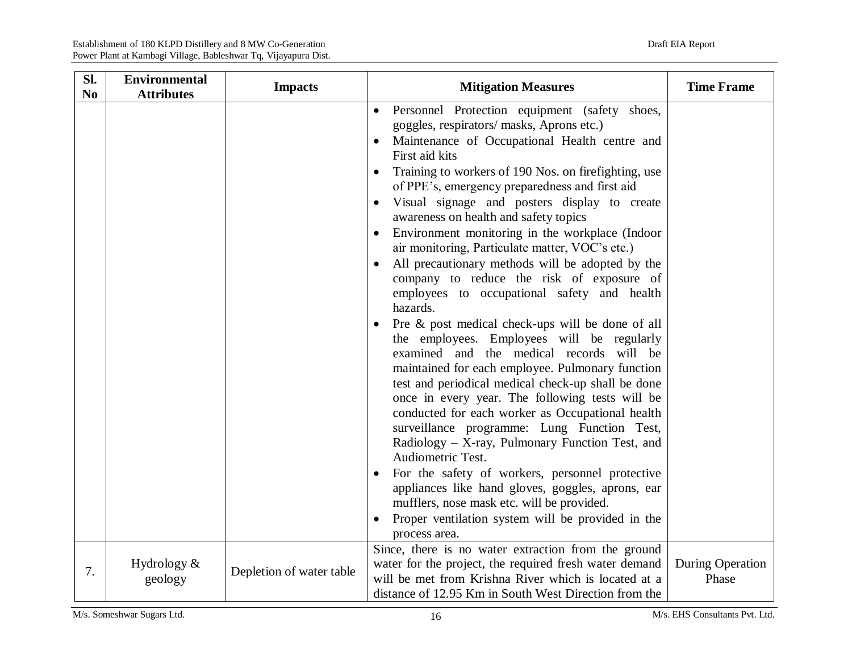| Sl.<br>N <sub>0</sub> | <b>Environmental</b><br><b>Attributes</b> | <b>Impacts</b>           | <b>Mitigation Measures</b>                                                                                                                                                                                                                                                                                                                                                                                                                                                                                                                                                                                                                                                                                                                                                                                                                                                                                                                                                                                                                                                                                                                                                                                                                                                                                                                                                                                            | <b>Time Frame</b>                |
|-----------------------|-------------------------------------------|--------------------------|-----------------------------------------------------------------------------------------------------------------------------------------------------------------------------------------------------------------------------------------------------------------------------------------------------------------------------------------------------------------------------------------------------------------------------------------------------------------------------------------------------------------------------------------------------------------------------------------------------------------------------------------------------------------------------------------------------------------------------------------------------------------------------------------------------------------------------------------------------------------------------------------------------------------------------------------------------------------------------------------------------------------------------------------------------------------------------------------------------------------------------------------------------------------------------------------------------------------------------------------------------------------------------------------------------------------------------------------------------------------------------------------------------------------------|----------------------------------|
|                       |                                           |                          | Personnel Protection equipment (safety shoes,<br>$\bullet$<br>goggles, respirators/ masks, Aprons etc.)<br>Maintenance of Occupational Health centre and<br>First aid kits<br>Training to workers of 190 Nos. on firefighting, use<br>$\bullet$<br>of PPE's, emergency preparedness and first aid<br>Visual signage and posters display to create<br>$\bullet$<br>awareness on health and safety topics<br>Environment monitoring in the workplace (Indoor<br>air monitoring, Particulate matter, VOC's etc.)<br>All precautionary methods will be adopted by the<br>$\bullet$<br>company to reduce the risk of exposure of<br>employees to occupational safety and health<br>hazards.<br>Pre & post medical check-ups will be done of all<br>the employees. Employees will be regularly<br>examined and the medical records will be<br>maintained for each employee. Pulmonary function<br>test and periodical medical check-up shall be done<br>once in every year. The following tests will be<br>conducted for each worker as Occupational health<br>surveillance programme: Lung Function Test,<br>Radiology - X-ray, Pulmonary Function Test, and<br>Audiometric Test.<br>For the safety of workers, personnel protective<br>$\bullet$<br>appliances like hand gloves, goggles, aprons, ear<br>mufflers, nose mask etc. will be provided.<br>Proper ventilation system will be provided in the<br>process area. |                                  |
| 7.                    | Hydrology $&$<br>geology                  | Depletion of water table | Since, there is no water extraction from the ground<br>water for the project, the required fresh water demand<br>will be met from Krishna River which is located at a<br>distance of 12.95 Km in South West Direction from the                                                                                                                                                                                                                                                                                                                                                                                                                                                                                                                                                                                                                                                                                                                                                                                                                                                                                                                                                                                                                                                                                                                                                                                        | <b>During Operation</b><br>Phase |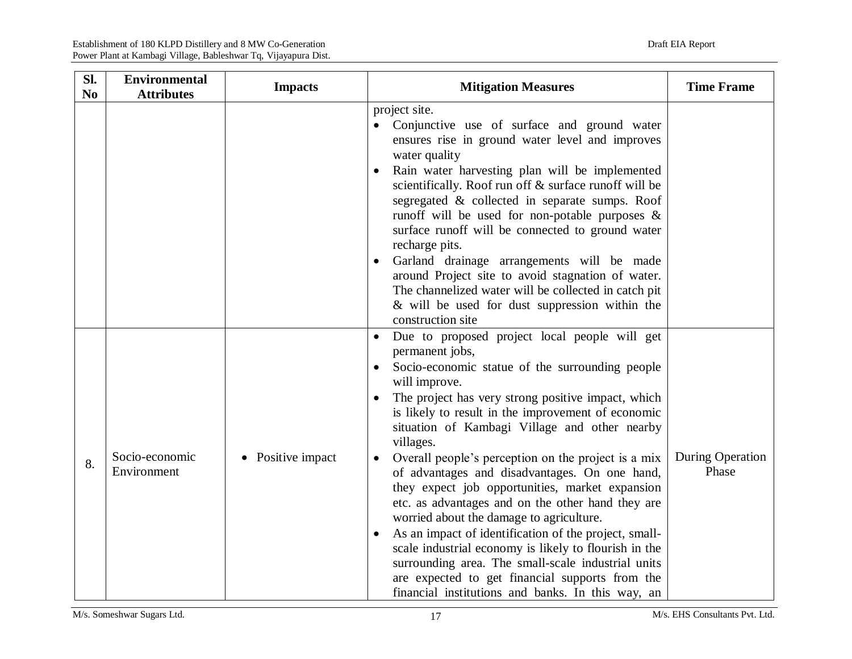| Sl.<br>N <sub>0</sub> | <b>Environmental</b><br><b>Attributes</b> | <b>Impacts</b>    | <b>Mitigation Measures</b>                                                                                                                                                                                                                                                                                                                                                                                                                                                                                                                                                                                                                                                                                                                                                                                                                                                                        | <b>Time Frame</b>         |
|-----------------------|-------------------------------------------|-------------------|---------------------------------------------------------------------------------------------------------------------------------------------------------------------------------------------------------------------------------------------------------------------------------------------------------------------------------------------------------------------------------------------------------------------------------------------------------------------------------------------------------------------------------------------------------------------------------------------------------------------------------------------------------------------------------------------------------------------------------------------------------------------------------------------------------------------------------------------------------------------------------------------------|---------------------------|
|                       |                                           |                   | project site.<br>Conjunctive use of surface and ground water<br>$\bullet$<br>ensures rise in ground water level and improves<br>water quality<br>Rain water harvesting plan will be implemented<br>scientifically. Roof run off & surface runoff will be<br>segregated & collected in separate sumps. Roof<br>runoff will be used for non-potable purposes $\&$<br>surface runoff will be connected to ground water<br>recharge pits.<br>Garland drainage arrangements will be made<br>around Project site to avoid stagnation of water.<br>The channelized water will be collected in catch pit<br>& will be used for dust suppression within the<br>construction site                                                                                                                                                                                                                           |                           |
| 8.                    | Socio-economic<br>Environment             | • Positive impact | Due to proposed project local people will get<br>$\bullet$<br>permanent jobs,<br>Socio-economic statue of the surrounding people<br>will improve.<br>The project has very strong positive impact, which<br>$\bullet$<br>is likely to result in the improvement of economic<br>situation of Kambagi Village and other nearby<br>villages.<br>Overall people's perception on the project is a mix<br>of advantages and disadvantages. On one hand,<br>they expect job opportunities, market expansion<br>etc. as advantages and on the other hand they are<br>worried about the damage to agriculture.<br>As an impact of identification of the project, small-<br>$\bullet$<br>scale industrial economy is likely to flourish in the<br>surrounding area. The small-scale industrial units<br>are expected to get financial supports from the<br>financial institutions and banks. In this way, an | During Operation<br>Phase |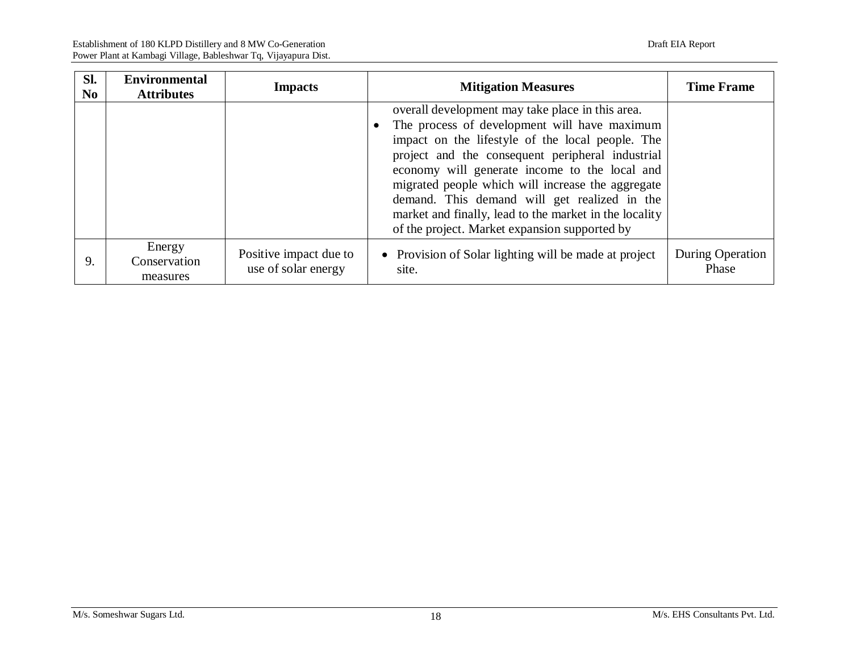| Sl.<br>N <sub>0</sub> | <b>Environmental</b><br><b>Attributes</b> | <b>Impacts</b>                                | <b>Mitigation Measures</b>                                                                                                                                                                                                                                                                                                                                                                                                                                                | <b>Time Frame</b>         |
|-----------------------|-------------------------------------------|-----------------------------------------------|---------------------------------------------------------------------------------------------------------------------------------------------------------------------------------------------------------------------------------------------------------------------------------------------------------------------------------------------------------------------------------------------------------------------------------------------------------------------------|---------------------------|
|                       |                                           |                                               | overall development may take place in this area.<br>The process of development will have maximum<br>impact on the lifestyle of the local people. The<br>project and the consequent peripheral industrial<br>economy will generate income to the local and<br>migrated people which will increase the aggregate<br>demand. This demand will get realized in the<br>market and finally, lead to the market in the locality<br>of the project. Market expansion supported by |                           |
| 9.                    | Energy<br>Conservation<br>measures        | Positive impact due to<br>use of solar energy | • Provision of Solar lighting will be made at project<br>site.                                                                                                                                                                                                                                                                                                                                                                                                            | During Operation<br>Phase |